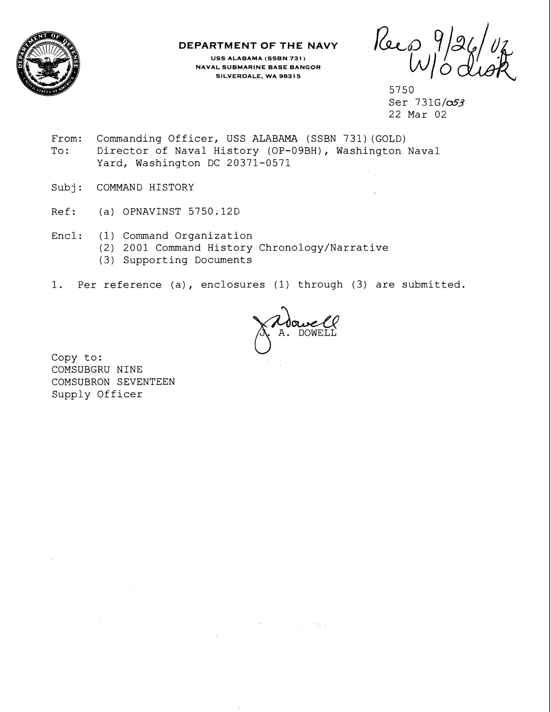

## **DEPARTMENT OF THE NAVY**

**USS ALABAMA (SSBN 731) NAVAL SUBMARINE BASE BANGOR SILVERDALE, WA 9831 5** 

Keep

5750 Ser 731G/053 22 Mar 02

- From: Commanding Officer, USS ALABAMA (SSBN 731) (GOLD)<br>To: Director of Naval History (OP-09BH), Washington Director of Naval History (OP-09BH), Washington Naval Yard, Washington DC 20371-0571
- Subj: COMMAND HISTORY
- Ref: (a) OPNAVINST 5750 ; 12D
- Encl: (1) Command Organization
	- (2) 2001 Command History Chronology/Narrative
	- (3) Supporting Documents
- 1. Per reference (a), enclosures (1) through (3) are submitted.

 $\langle \langle \hat{a} \rangle \hat{b} \rangle$  and  $\langle \hat{a} \rangle$ 

**TELESTICS** 

Copy to: COMSUBGRU NINE COMSUBRON SEVENTEEN Supply Officer

75 To 3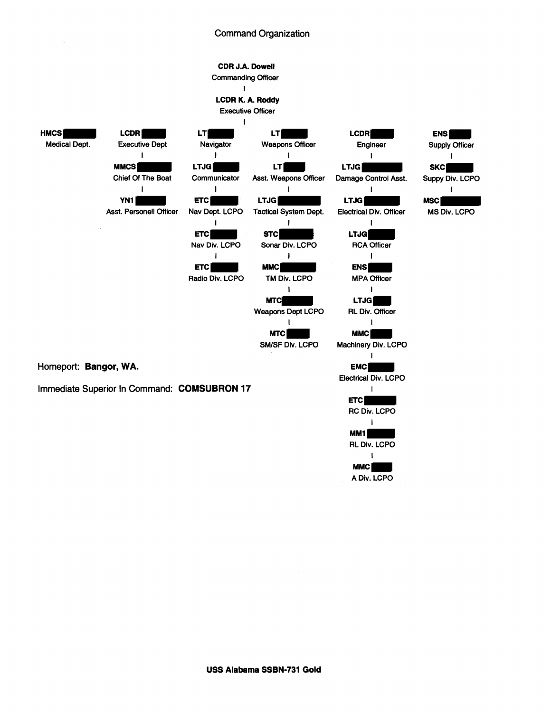## Command Organization

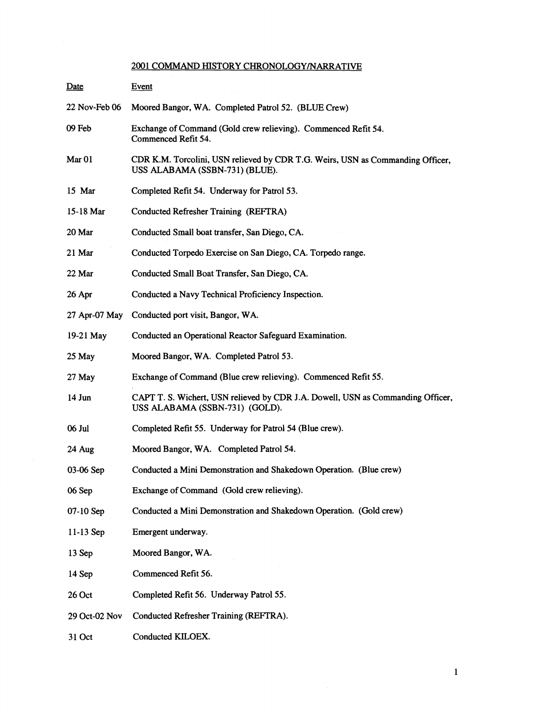## 2001 COMMAND HISTORY CHRONOLOGY/NARRATIVE

| Date              | <b>Event</b>                                                                                                      |
|-------------------|-------------------------------------------------------------------------------------------------------------------|
| 22 Nov-Feb 06     | Moored Bangor, WA. Completed Patrol 52. (BLUE Crew)                                                               |
| 09 Feb            | Exchange of Command (Gold crew relieving). Commenced Refit 54.<br>Commenced Refit 54.                             |
| Mar <sub>01</sub> | CDR K.M. Torcolini, USN relieved by CDR T.G. Weirs, USN as Commanding Officer,<br>USS ALABAMA (SSBN-731) (BLUE).  |
| 15 Mar            | Completed Refit 54. Underway for Patrol 53.                                                                       |
| 15-18 Mar         | Conducted Refresher Training (REFTRA)                                                                             |
| 20 Mar            | Conducted Small boat transfer, San Diego, CA.                                                                     |
| 21 Mar            | Conducted Torpedo Exercise on San Diego, CA. Torpedo range.                                                       |
| 22 Mar            | Conducted Small Boat Transfer, San Diego, CA.                                                                     |
| 26 Apr            | Conducted a Navy Technical Proficiency Inspection.                                                                |
| 27 Apr-07 May     | Conducted port visit, Bangor, WA.                                                                                 |
| 19-21 May         | Conducted an Operational Reactor Safeguard Examination.                                                           |
| 25 May            | Moored Bangor, WA. Completed Patrol 53.                                                                           |
| 27 May            | Exchange of Command (Blue crew relieving). Commenced Refit 55.                                                    |
| 14 Jun            | CAPT T. S. Wichert, USN relieved by CDR J.A. Dowell, USN as Commanding Officer,<br>USS ALABAMA (SSBN-731) (GOLD). |
| 06 Jul            | Completed Refit 55. Underway for Patrol 54 (Blue crew).                                                           |
| 24 Aug            | Moored Bangor, WA. Completed Patrol 54.                                                                           |
| 03-06 Sep         | Conducted a Mini Demonstration and Shakedown Operation. (Blue crew)                                               |
| 06 Sep            | Exchange of Command (Gold crew relieving).                                                                        |
| 07-10 Sep         | Conducted a Mini Demonstration and Shakedown Operation. (Gold crew)                                               |
| $11-13$ Sep       | Emergent underway.                                                                                                |
| 13 Sep            | Moored Bangor, WA.                                                                                                |
| 14 Sep            | Commenced Refit 56.                                                                                               |
| 26 Oct            | Completed Refit 56. Underway Patrol 55.                                                                           |
| 29 Oct-02 Nov     | Conducted Refresher Training (REFTRA).                                                                            |
| 31 Oct            | Conducted KILOEX.                                                                                                 |